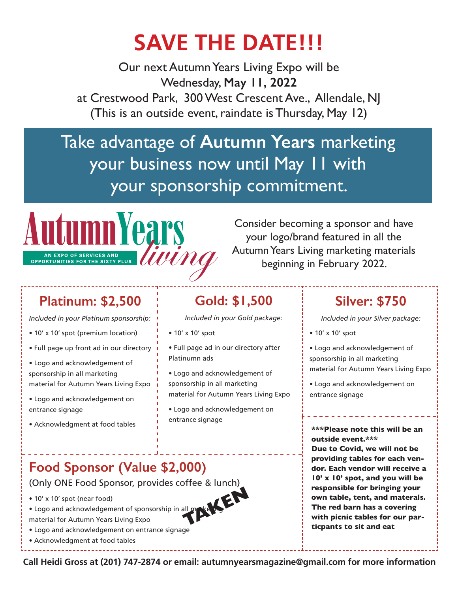## **SAVE THE DATE!!!**

Our next Autumn Years Living Expo will be Wednesday, **May 11, 2022**  at Crestwood Park, 300 West Crescent Ave., Allendale, NJ (This is an outside event, raindate is Thursday, May 12)

### Take advantage of **Autumn Years** marketing your business now until May 11 with your sponsorship commitment.



Consider becoming a sponsor and have your logo/brand featured in all the Autumn Years Living marketing materials beginning in February 2022.

#### **Platinum: \$2,500**

*Included in your Platinum sponsorship:*

- 10' x 10' spot (premium location)
- Full page up front ad in our directory
- Logo and acknowledgement of sponsorship in all marketing material for Autumn Years Living Expo
- Logo and acknowledgement on entrance signage
- Acknowledgment at food tables

#### **Gold: \$1,500**

*Included in your Gold package:*

- 10' x 10' spot
- Full page ad in our directory after Platinumn ads
- Logo and acknowledgement of sponsorship in all marketing material for Autumn Years Living Expo
- Logo and acknowledgement on entrance signage

#### **Silver: \$750**

*Included in your Silver package:*

- 10' x 10' spot
- Logo and acknowledgement of sponsorship in all marketing material for Autumn Years Living Expo
- Logo and acknowledgement on entrance signage

**\*\*\*Please note this will be an outside event.\*\*\***

• 10' x 10' spot (near food)<br>• Logo and acknowledgement of sponsorship in all metals.<br>
The red barn has a covering<br>
with picnic tables for our par-<br>
timents to eit and est. **Due to Covid, we will not be providing tables for each vendor. Each vendor will receive a 10' x 10' spot, and you will be responsible for bringing your own table, tent, and materals. The red barn has a covering ticpants to sit and eat**

#### **Food Sponsor (Value \$2,000)**

(Only ONE Food Sponsor, provides coffee & lunch)

- 10' x 10' spot (near food)
- Logo and acknowledgement of sponsorship in all make the
- 
- Logo and acknowledgement on entrance signage
- Acknowledgment at food tables

**Call Heidi Gross at (201) 747-2874 or email: autumnyearsmagazine@gmail.com for more information**